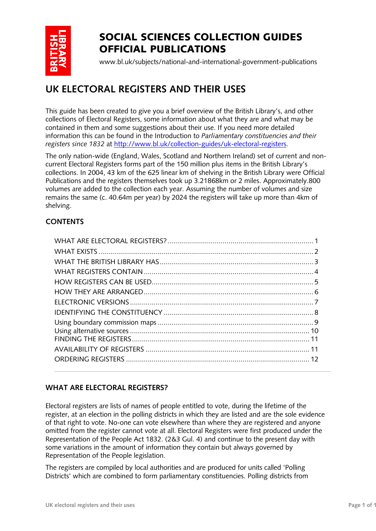

# SOCIAL SCIENCES COLLECTION GUIDES OFFICIAL PUBLICATIONS

www.bl.uk/subjects/national-and-international-government-publications

# **UK ELECTORAL REGISTERS AND THEIR USES**

This guide has been created to give you a brief overview of the British Library's, and other collections of Electoral Registers, some information about what they are and what may be contained in them and some suggestions about their use. If you need more detailed information this can be found in the Introduction to *Parliamentary constituencies and their registers since 1832* at [http://www.bl.uk/collection-guides/uk-electoral-registers.](http://www.bl.uk/collection-guides/uk-electoral-registers)

The only nation-wide (England, Wales, Scotland and Northern Ireland) set of current and noncurrent Electoral Registers forms part of the 150 million plus items in the British Library's collections. In 2004, 43 km of the 625 linear km of shelving in the British Library were Official Publications and the registers themselves took up 3.21868km or 2 miles. Approximately.800 volumes are added to the collection each year. Assuming the number of volumes and size remains the same (c. 40.64m per year) by 2024 the registers will take up more than 4km of shelving.

# **CONTENTS**

# <span id="page-0-0"></span>**WHAT ARE ELECTORAL REGISTERS?**

Electoral registers are lists of names of people entitled to vote, during the lifetime of the register, at an election in the polling districts in which they are listed and are the sole evidence of that right to vote. No-one can vote elsewhere than where they are registered and anyone omitted from the register cannot vote at all. Electoral Registers were first produced under the Representation of the People Act 1832. (2&3 Gul. 4) and continue to the present day with some variations in the amount of information they contain but always governed by Representation of the People legislation.

The registers are compiled by local authorities and are produced for units called 'Polling Districts' which are combined to form parliamentary constituencies. Polling districts from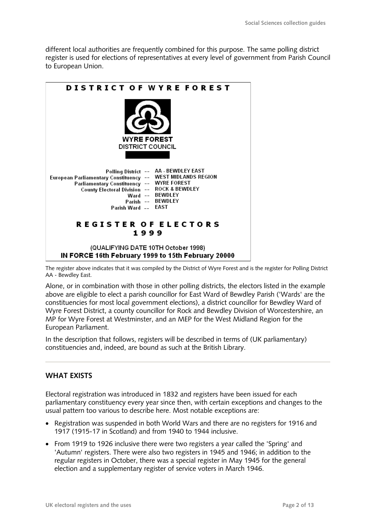different local authorities are frequently combined for this purpose. The same polling district register is used for elections of representatives at every level of government from Parish Council to European Union.



The register above indicates that it was compiled by the District of Wyre Forest and is the register for Polling District AA - Bewdley East.

Alone, or in combination with those in other polling districts, the electors listed in the example above are eligible to elect a parish councillor for East Ward of Bewdley Parish ('Wards' are the constituencies for most local government elections), a district councillor for Bewdley Ward of Wyre Forest District, a county councillor for Rock and Bewdley Division of Worcestershire, an MP for Wyre Forest at Westminster, and an MEP for the West Midland Region for the European Parliament.

In the description that follows, registers will be described in terms of (UK parliamentary) constituencies and, indeed, are bound as such at the British Library.

### <span id="page-1-0"></span>**WHAT EXISTS**

Electoral registration was introduced in 1832 and registers have been issued for each parliamentary constituency every year since then, with certain exceptions and changes to the usual pattern too various to describe here. Most notable exceptions are:

- Registration was suspended in both World Wars and there are no registers for 1916 and 1917 (1915-17 in Scotland) and from 1940 to 1944 inclusive.
- From 1919 to 1926 inclusive there were two registers a year called the 'Spring' and 'Autumn' registers. There were also two registers in 1945 and 1946; in addition to the regular registers in October, there was a special register in May 1945 for the general election and a supplementary register of service voters in March 1946.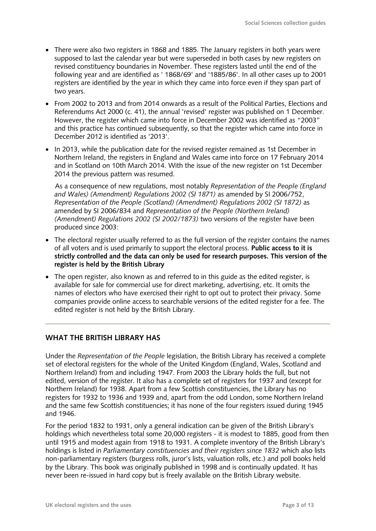- There were also two registers in 1868 and 1885. The January registers in both years were supposed to last the calendar year but were superseded in both cases by new registers on revised constituency boundaries in November. These registers lasted until the end of the following year and are identified as ' 1868/69' and '1885/86'. In all other cases up to 2001 registers are identified by the year in which they came into force even if they span part of two years.
- From 2002 to 2013 and from 2014 onwards as a result of the Political Parties, Elections and Referendums Act 2000 (c. 41), the annual 'revised' register was published on 1 December. However, the register which came into force in December 2002 was identified as "2003" and this practice has continued subsequently, so that the register which came into force in December 2012 is identified as '2013'.
- In 2013, while the publication date for the revised register remained as 1st December in Northern Ireland, the registers in England and Wales came into force on 17 February 2014 and in Scotland on 10th March 2014. With the issue of the new register on 1st December 2014 the previous pattern was resumed.

As a consequence of new regulations, most notably *Representation of the People (England and Wales) (Amendment) Regulations 2002 (SI 1871)* as amended by SI 2006/752, *Representation of the People (Scotland) (Amendment) Regulations 2002 (SI 1872)* as amended by SI 2006/834 and *Representation of the People (Northern Ireland) (Amendment) Regulations 2002 (SI 2002/1873)* two versions of the register have been produced since 2003:

- The electoral register usually referred to as the full version of the register contains the names of all voters and is used primarily to support the electoral process. **Public access to it is strictly controlled and the data can only be used for research purposes. This version of the register is held by the British Library**
- The open register, also known as and referred to in this guide as the edited register, is available for sale for commercial use for direct marketing, advertising, etc. It omits the names of electors who have exercised their right to opt out to protect their privacy. Some companies provide online access to searchable versions of the edited register for a fee. The edited register is not held by the British Library.

# <span id="page-2-0"></span>**WHAT THE BRITISH LIBRARY HAS**

Under the *Representation of the People* legislation, the British Library has received a complete set of electoral registers for the whole of the United Kingdom (England, Wales, Scotland and Northern Ireland) from and including 1947. From 2003 the Library holds the full, but not edited, version of the register. It also has a complete set of registers for 1937 and (except for Northern Ireland) for 1938. Apart from a few Scottish constituencies, the Library has no registers for 1932 to 1936 and 1939 and, apart from the odd London, some Northern Ireland and the same few Scottish constituencies; it has none of the four registers issued during 1945 and 1946.

For the period 1832 to 1931, only a general indication can be given of the British Library's holdings which nevertheless total some 20,000 registers - it is modest to 1885, good from then until 1915 and modest again from 1918 to 1931. A complete inventory of the British Library's holdings is listed in *Parliamentary constituencies and their registers since 1832* which also lists non-parliamentary registers (burgess rolls, juror's lists, valuation rolls, etc.) and poll books held by the Library. This book was originally published in 1998 and is continually updated. It has never been re-issued in hard copy but is freely available on the British Library website.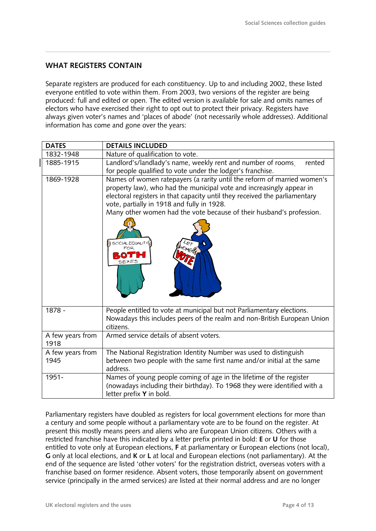# <span id="page-3-0"></span>**WHAT REGISTERS CONTAIN**

Separate registers are produced for each constituency. Up to and including 2002, these listed everyone entitled to vote within them. From 2003, two versions of the register are being produced: full and edited or open. The edited version is available for sale and omits names of electors who have exercised their right to opt out to protect their privacy. Registers have always given voter's names and 'places of abode' (not necessarily whole addresses). Additional information has come and gone over the years:

| <b>DATES</b>             | <b>DETAILS INCLUDED</b>                                                                                                                                                                                                                                                                                                                                                         |  |  |  |  |
|--------------------------|---------------------------------------------------------------------------------------------------------------------------------------------------------------------------------------------------------------------------------------------------------------------------------------------------------------------------------------------------------------------------------|--|--|--|--|
| 1832-1948                | Nature of qualification to vote.                                                                                                                                                                                                                                                                                                                                                |  |  |  |  |
| 1885-1915                | Landlord's/landlady's name, weekly rent and number of rooms_<br>rented<br>for people qualified to vote under the lodger's franchise.                                                                                                                                                                                                                                            |  |  |  |  |
| 1869-1928                | Names of women ratepayers (a rarity until the reform of married women's<br>property law), who had the municipal vote and increasingly appear in<br>electoral registers in that capacity until they received the parliamentary<br>vote, partially in 1918 and fully in 1928.<br>Many other women had the vote because of their husband's profession.<br>SOCIAL EQUALITY<br>SEXES |  |  |  |  |
| 1878 -                   | People entitled to vote at municipal but not Parliamentary elections.<br>Nowadays this includes peers of the realm and non-British European Union<br>citizens.                                                                                                                                                                                                                  |  |  |  |  |
| A few years from<br>1918 | Armed service details of absent voters.                                                                                                                                                                                                                                                                                                                                         |  |  |  |  |
| A few years from         | The National Registration Identity Number was used to distinguish                                                                                                                                                                                                                                                                                                               |  |  |  |  |
| 1945                     | between two people with the same first name and/or initial at the same<br>address.                                                                                                                                                                                                                                                                                              |  |  |  |  |
| 1951-                    | Names of young people coming of age in the lifetime of the register<br>(nowadays including their birthday). To 1968 they were identified with a<br>letter prefix Y in bold.                                                                                                                                                                                                     |  |  |  |  |

Parliamentary registers have doubled as registers for local government elections for more than a century and some people without a parliamentary vote are to be found on the register. At present this mostly means peers and aliens who are European Union citizens. Others with a restricted franchise have this indicated by a letter prefix printed in bold: **E** or **U** for those entitled to vote only at European elections, **F** at parliamentary or European elections (not local), **G** only at local elections, and **K** or **L** at local and European elections (not parliamentary). At the end of the sequence are listed 'other voters' for the registration district, overseas voters with a franchise based on former residence. Absent voters, those temporarily absent on government service (principally in the armed services) are listed at their normal address and are no longer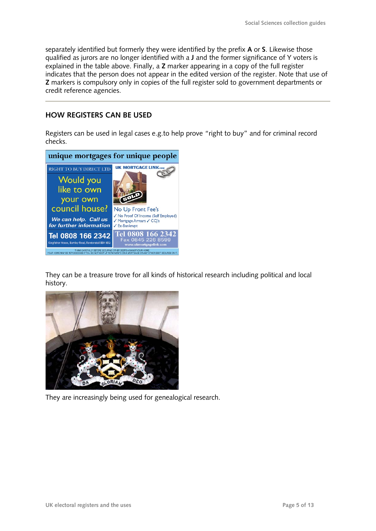separately identified but formerly they were identified by the prefix **A** or **S**. Likewise those qualified as jurors are no longer identified with a **J** and the former significance of Y voters is explained in the table above. Finally, a **Z** marker appearing in a copy of the full register indicates that the person does not appear in the edited version of the register. Note that use of **Z** markers is compulsory only in copies of the full register sold to government departments or credit reference agencies.

# <span id="page-4-0"></span>**HOW REGISTERS CAN BE USED**

Registers can be used in legal cases e.g.to help prove "right to buy" and for criminal record checks.



They can be a treasure trove for all kinds of historical research including political and local history.



They are increasingly being used for genealogical research.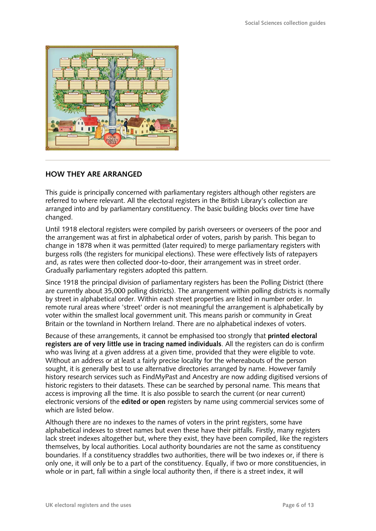

# <span id="page-5-0"></span>**HOW THEY ARE ARRANGED**

This guide is principally concerned with parliamentary registers although other registers are referred to where relevant. All the electoral registers in the British Library's collection are arranged into and by parliamentary constituency. The basic building blocks over time have changed.

Until 1918 electoral registers were compiled by parish overseers or overseers of the poor and the arrangement was at first in alphabetical order of voters, parish by parish. This began to change in 1878 when it was permitted (later required) to merge parliamentary registers with burgess rolls (the registers for municipal elections). These were effectively lists of ratepayers and, as rates were then collected door-to-door, their arrangement was in street order. Gradually parliamentary registers adopted this pattern.

Since 1918 the principal division of parliamentary registers has been the Polling District (there are currently about 35,000 polling districts). The arrangement within polling districts is normally by street in alphabetical order. Within each street properties are listed in number order. In remote rural areas where 'street' order is not meaningful the arrangement is alphabetically by voter within the smallest local government unit. This means parish or community in Great Britain or the townland in Northern Ireland. There are no alphabetical indexes of voters.

Because of these arrangements, it cannot be emphasised too strongly that **printed electoral registers are of very little use in tracing named individuals**. All the registers can do is confirm who was living at a given address at a given time, provided that they were eligible to vote. Without an address or at least a fairly precise locality for the whereabouts of the person sought, it is generally best to use alternative directories arranged by name. However family history research services such as FindMyPast and Ancestry are now adding digitised versions of historic registers to their datasets. These can be searched by personal name. This means that access is improving all the time. It is also possible to search the current (or near current) electronic versions of the **edited or open** registers by name using commercial services some of which are listed below.

Although there are no indexes to the names of voters in the print registers, some have alphabetical indexes to street names but even these have their pitfalls. Firstly, many registers lack street indexes altogether but, where they exist, they have been compiled, like the registers themselves, by local authorities. Local authority boundaries are not the same as constituency boundaries. If a constituency straddles two authorities, there will be two indexes or, if there is only one, it will only be to a part of the constituency. Equally, if two or more constituencies, in whole or in part, fall within a single local authority then, if there is a street index, it will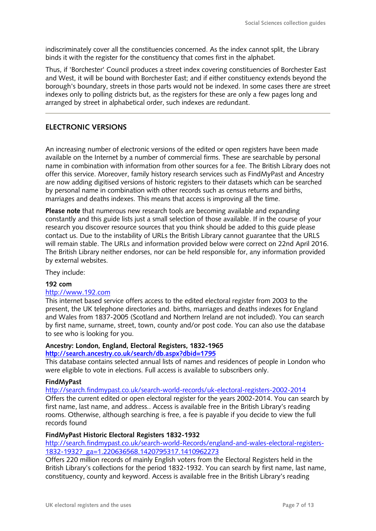indiscriminately cover all the constituencies concerned. As the index cannot split, the Library binds it with the register for the constituency that comes first in the alphabet.

Thus, if 'Borchester' Council produces a street index covering constituencies of Borchester East and West, it will be bound with Borchester East; and if either constituency extends beyond the borough's boundary, streets in those parts would not be indexed. In some cases there are street indexes only to polling districts but, as the registers for these are only a few pages long and arranged by street in alphabetical order, such indexes are redundant.

# <span id="page-6-0"></span>**ELECTRONIC VERSIONS**

An increasing number of electronic versions of the edited or open registers have been made available on the Internet by a number of commercial firms. These are searchable by personal name in combination with information from other sources for a fee. The British Library does not offer this service. Moreover, family history research services such as FindMyPast and Ancestry are now adding digitised versions of historic registers to their datasets which can be searched by personal name in combination with other records such as census returns and births, marriages and deaths indexes. This means that access is improving all the time.

**Please note** that numerous new research tools are becoming available and expanding constantly and this guide lists just a small selection of those available. If in the course of your research you discover resource sources that you think should be added to this guide please contact us. Due to the instability of URLs the British Library cannot guarantee that the URLS will remain stable. The URLs and information provided below were correct on 22nd April 2016. The British Library neither endorses, nor can be held responsible for, any information provided by external websites.

They include:

#### **192 com**

#### [http://www.192.com](http://www.192.com/)

This internet based service offers access to the edited electoral register from 2003 to the present, the UK telephone directories and. births, marriages and deaths indexes for England and Wales from 1837-2005 (Scotland and Northern Ireland are not included). You can search by first name, surname, street, town, county and/or post code. You can also use the database to see who is looking for you.

# **Ancestry: London, England, Electoral Registers, 1832-1965**

# **<http://search.ancestry.co.uk/search/db.aspx?dbid=1795>**

This database contains selected annual lists of names and residences of people in London who were eligible to vote in elections. Full access is available to subscribers only.

#### **FindMyPast**

<http://search.findmypast.co.uk/search-world-records/uk-electoral-registers-2002-2014> Offers the current edited or open electoral register for the years 2002-2014. You can search by first name, last name, and address.. Access is available free in the British Library's reading rooms. Otherwise, although searching is free, a fee is payable if you decide to view the full records found

#### **FindMyPast Historic Electoral Registers 1832-1932**

[http://search.findmypast.co.uk/search-world-Records/england-and-wales-electoral-registers-](http://search.findmypast.co.uk/search-world-Records/england-and-wales-electoral-registers-1832-1932?_ga=1.220636568.1420795317.1410962273)[1832-1932?\\_ga=1.220636568.1420795317.1410962273](http://search.findmypast.co.uk/search-world-Records/england-and-wales-electoral-registers-1832-1932?_ga=1.220636568.1420795317.1410962273)

Offers 220 million records of mainly English voters from the Electoral Registers held in the British Library's collections for the period 1832-1932. You can search by first name, last name, constituency, county and keyword. Access is available free in the British Library's reading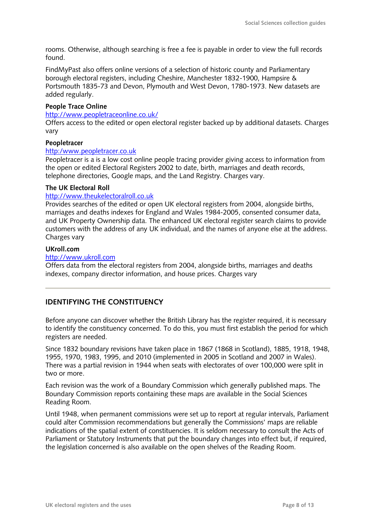rooms. Otherwise, although searching is free a fee is payable in order to view the full records found.

FindMyPast also offers online versions of a selection of historic county and Parliamentary borough electoral registers, including Cheshire, Manchester 1832-1900, Hampsire & Portsmouth 1835-73 and Devon, Plymouth and West Devon, 1780-1973. New datasets are added regularly.

#### **People Trace Online**

#### <http://www.peopletraceonline.co.uk/>

Offers access to the edited or open electoral register backed up by additional datasets. Charges vary

#### **Peopletracer**

#### [http:/www.peopletracer.co.uk](http://www.peopletracer.co.uk/)

Peopletracer is a is a low cost online people tracing provider giving access to information from the open or edited Electoral Registers 2002 to date, birth, marriages and death records, telephone directories, Google maps, and the Land Registry. Charges vary.

#### **The UK Electoral Roll**

#### [http://www.theukelectoralroll.co.uk](http://www.theukelectoralroll.co.uk/)

Provides searches of the edited or open UK electoral registers from 2004, alongside births, marriages and deaths indexes for England and Wales 1984-2005, consented consumer data, and UK Property Ownership data. The enhanced UK electoral register search claims to provide customers with the address of any UK individual, and the names of anyone else at the address. Charges vary

#### **UKroll.com**

#### [http://www.ukroll.com](http://www.ukroll.com/)

Offers data from the electoral registers from 2004, alongside births, marriages and deaths indexes, company director information, and house prices. Charges vary

# <span id="page-7-0"></span>**IDENTIFYING THE CONSTITUENCY**

Before anyone can discover whether the British Library has the register required, it is necessary to identify the constituency concerned. To do this, you must first establish the period for which registers are needed.

Since 1832 boundary revisions have taken place in 1867 (1868 in Scotland), 1885, 1918, 1948, 1955, 1970, 1983, 1995, and 2010 (implemented in 2005 in Scotland and 2007 in Wales). There was a partial revision in 1944 when seats with electorates of over 100,000 were split in two or more.

Each revision was the work of a Boundary Commission which generally published maps. The Boundary Commission reports containing these maps are available in the Social Sciences Reading Room.

Until 1948, when permanent commissions were set up to report at regular intervals, Parliament could alter Commission recommendations but generally the Commissions' maps are reliable indications of the spatial extent of constituencies. It is seldom necessary to consult the Acts of Parliament or Statutory Instruments that put the boundary changes into effect but, if required, the legislation concerned is also available on the open shelves of the Reading Room.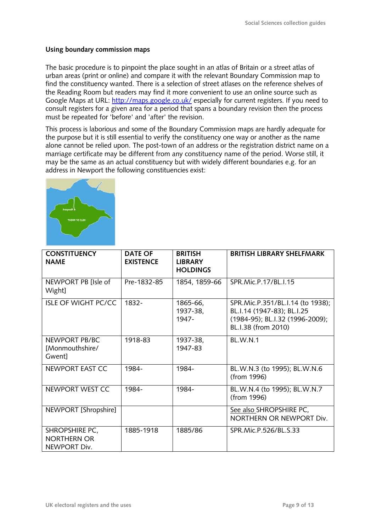# <span id="page-8-0"></span>**Using boundary commission maps**

The basic procedure is to pinpoint the place sought in an atlas of Britain or a street atlas of urban areas (print or online) and compare it with the relevant Boundary Commission map to find the constituency wanted. There is a selection of street atlases on the reference shelves of the Reading Room but readers may find it more convenient to use an online source such as Google Maps at URL:<http://maps.google.co.uk/> especially for current registers. If you need to consult registers for a given area for a period that spans a boundary revision then the process must be repeated for 'before' and 'after' the revision.

This process is laborious and some of the Boundary Commission maps are hardly adequate for the purpose but it is still essential to verify the constituency one way or another as the name alone cannot be relied upon. The post-town of an address or the registration district name on a marriage certificate may be different from any constituency name of the period. Worse still, it may be the same as an actual constituency but with widely different boundaries e.g. for an address in Newport the following constituencies exist:



| <b>CONSTITUENCY</b><br><b>NAME</b>                   | <b>DATE OF</b><br><b>EXISTENCE</b> | <b>BRITISH</b><br><b>LIBRARY</b><br><b>HOLDINGS</b> | <b>BRITISH LIBRARY SHELFMARK</b>                                                                                         |
|------------------------------------------------------|------------------------------------|-----------------------------------------------------|--------------------------------------------------------------------------------------------------------------------------|
| NEWPORT PB [Isle of<br>Wight]                        | Pre-1832-85                        | 1854, 1859-66                                       | SPR.Mic.P.17/BL.I.15                                                                                                     |
| <b>ISLE OF WIGHT PC/CC</b>                           | 1832-                              | 1865-66,<br>1937-38,<br>1947-                       | SPR.Mic.P.351/BL.I.14 (to 1938);<br>BL.I.14 (1947-83); BL.I.25<br>(1984-95); BL.I.32 (1996-2009);<br>BL.I.38 (from 2010) |
| NEWPORT PB/BC<br>[Monmouthshire/<br>Gwent]           | 1918-83                            | 1937-38,<br>1947-83                                 | <b>BL.W.N.1</b>                                                                                                          |
| NEWPORT EAST CC                                      | 1984-                              | 1984-                                               | BL.W.N.3 (to 1995); BL.W.N.6<br>(from 1996)                                                                              |
| NEWPORT WEST CC                                      | 1984-                              | 1984-                                               | BL.W.N.4 (to 1995); BL.W.N.7<br>(from 1996)                                                                              |
| NEWPORT [Shropshire]                                 |                                    |                                                     | See also SHROPSHIRE PC,<br>NORTHERN OR NEWPORT Div.                                                                      |
| SHROPSHIRE PC,<br><b>NORTHERN OR</b><br>NEWPORT Div. | 1885-1918                          | 1885/86                                             | SPR.Mic.P.526/BL.S.33                                                                                                    |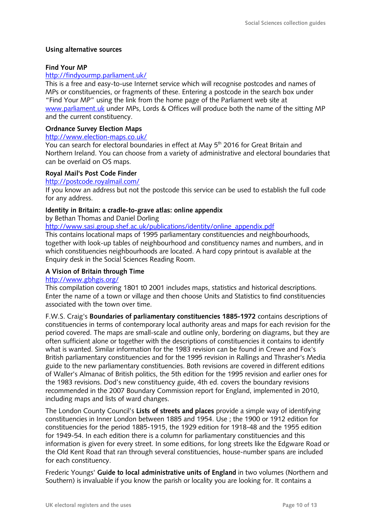# <span id="page-9-0"></span>**Using alternative sources**

## **Find Your MP**

## <http://findyourmp.parliament.uk/>

This is a free and easy-to-use Internet service which will recognise postcodes and names of MPs or constituencies, or fragments of these. Entering a postcode in the search box under "Find Your MP" using the link from the home page of the Parliament web site at [www.parliament.uk](http://www.parliament.uk/) under MPs, Lords & Offices will produce both the name of the sitting MP and the current constituency.

# **Ordnance Survey Election Maps**

#### <http://www.election-maps.co.uk/>

You can search for electoral boundaries in effect at May 5<sup>th</sup> 2016 for Great Britain and Northern Ireland. You can choose from a variety of administrative and electoral boundaries that can be overlaid on OS maps.

### **Royal Mail's Post Code Finder**

### <http://postcode.royalmail.com/>

If you know an address but not the postcode this service can be used to establish the full code for any address.

# **Identity in Britain: a cradle-to-grave atlas: online appendix**

by Bethan Thomas and Daniel Dorling

[http://www.sasi.group.shef.ac.uk/publications/identity/online\\_appendix.pdf](http://www.sasi.group.shef.ac.uk/publications/identity/online_appendix.pdf)

This contains locational maps of 1995 parliamentary constituencies and neighbourhoods, together with look-up tables of neighbourhood and constituency names and numbers, and in which constituencies neighbourhoods are located. A hard copy printout is available at the Enquiry desk in the Social Sciences Reading Room.

# **A Vision of Britain through Time**

### <http://www.gbhgis.org/>

This compilation covering 1801 t0 2001 includes maps, statistics and historical descriptions. Enter the name of a town or village and then choose Units and Statistics to find constituencies associated with the town over time.

F.W.S. Craig's **Boundaries of parliamentary constituencies 1885-1972** contains descriptions of constituencies in terms of contemporary local authority areas and maps for each revision for the period covered. The maps are small-scale and outline only, bordering on diagrams, but they are often sufficient alone or together with the descriptions of constituencies it contains to identify what is wanted. Similar information for the 1983 revision can be found in Crewe and Fox's British parliamentary constituencies and for the 1995 revision in Rallings and Thrasher's Media guide to the new parliamentary constituencies. Both revisions are covered in different editions of Waller's Almanac of British politics, the 5th edition for the 1995 revision and earlier ones for the 1983 revisions. Dod's new constituency guide, 4th ed. covers the boundary revisions recommended in the 2007 Boundary Commission report for England, implemented in 2010, including maps and lists of ward changes.

The London County Council's **Lists of streets and places** provide a simple way of identifying constituencies in Inner London between 1885 and 1954. Use ; the 1900 or 1912 edition for constituencies for the period 1885-1915, the 1929 edition for 1918-48 and the 1955 edition for 1949-54. In each edition there is a column for parliamentary constituencies and this information is given for every street. In some editions, for long streets like the Edgware Road or the Old Kent Road that ran through several constituencies, house-number spans are included for each constituency.

Frederic Youngs' **Guide to local administrative units of England** in two volumes (Northern and Southern) is invaluable if you know the parish or locality you are looking for. It contains a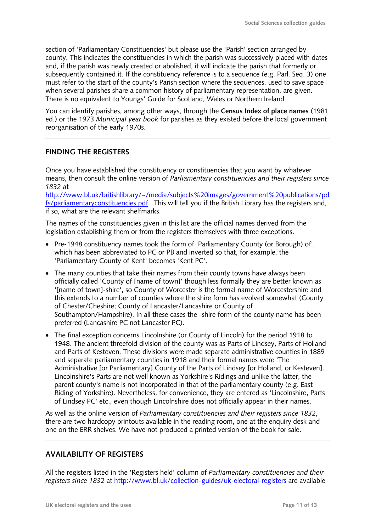section of 'Parliamentary Constituencies' but please use the 'Parish' section arranged by county. This indicates the constituencies in which the parish was successively placed with dates and, if the parish was newly created or abolished, it will indicate the parish that formerly or subsequently contained it. If the constituency reference is to a sequence (e.g. Parl. Seq. 3) one must refer to the start of the county's Parish section where the sequences, used to save space when several parishes share a common history of parliamentary representation, are given. There is no equivalent to Youngs' Guide for Scotland, Wales or Northern Ireland

You can identify parishes, among other ways, through the **Census Index of place names** (1981 ed.) or the 1973 *Municipal year book* for parishes as they existed before the local government reorganisation of the early 1970s.

# <span id="page-10-0"></span>**FINDING THE REGISTERS**

Once you have established the constituency or constituencies that you want by whatever means, then consult the online version of *Parliamentary constituencies and their registers since 1832* at

[http://www.bl.uk/britishlibrary/~/media/subjects%20images/government%20publications/pd](http://www.bl.uk/britishlibrary/~/media/subjects%20images/government%20publications/pdfs/parliamentaryconstituencies.pdf) [fs/parliamentaryconstituencies.pdf](http://www.bl.uk/britishlibrary/~/media/subjects%20images/government%20publications/pdfs/parliamentaryconstituencies.pdf) . This will tell you if the British Library has the registers and, if so, what are the relevant shelfmarks.

The names of the constituencies given in this list are the official names derived from the legislation establishing them or from the registers themselves with three exceptions.

- Pre-1948 constituency names took the form of 'Parliamentary County (or Borough) of', which has been abbreviated to PC or PB and inverted so that, for example, the 'Parliamentary County of Kent' becomes 'Kent PC'.
- The many counties that take their names from their county towns have always been officially called 'County of [name of town]' though less formally they are better known as '[name of town]-shire', so County of Worcester is the formal name of Worcestershire and this extends to a number of counties where the shire form has evolved somewhat (County of Chester/Cheshire; County of Lancaster/Lancashire or County of Southampton/Hampshire). In all these cases the -shire form of the county name has been preferred (Lancashire PC not Lancaster PC).
- The final exception concerns Lincolnshire (or County of Lincoln) for the period 1918 to 1948. The ancient threefold division of the county was as Parts of Lindsey, Parts of Holland and Parts of Kesteven. These divisions were made separate administrative counties in 1889 and separate parliamentary counties in 1918 and their formal names were 'The Administrative [or Parliamentary] County of the Parts of Lindsey [or Holland, or Kesteven]. Lincolnshire's Parts are not well known as Yorkshire's Ridings and unlike the latter, the parent county's name is not incorporated in that of the parliamentary county (e.g. East Riding of Yorkshire). Nevertheless, for convenience, they are entered as 'Lincolnshire, Parts of Lindsey PC' etc., even though Lincolnshire does not officially appear in their names.

As well as the online version of *Parliamentary constituencies and their registers since 1832*, there are two hardcopy printouts available in the reading room, one at the enquiry desk and one on the ERR shelves. We have not produced a printed version of the book for sale.

# <span id="page-10-1"></span>**AVAILABILITY OF REGISTERS**

All the registers listed in the 'Registers held' column of *Parliamentary constituencies and their registers since 1832* at<http://www.bl.uk/collection-guides/uk-electoral-registers> are available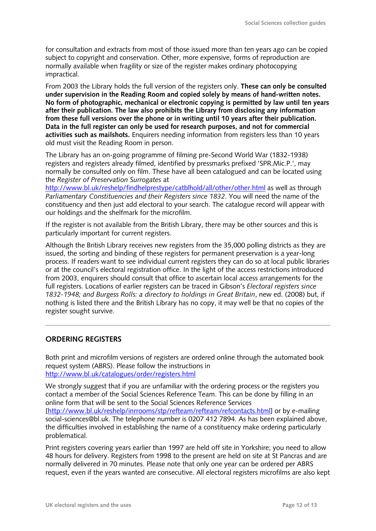for consultation and extracts from most of those issued more than ten years ago can be copied subject to copyright and conservation. Other, more expensive, forms of reproduction are normally available when fragility or size of the register makes ordinary photocopying impractical.

From 2003 the Library holds the full version of the registers only. **These can only be consulted under supervision in the Reading Room and copied solely by means of hand-written notes. No form of photographic, mechanical or electronic copying is permitted by law until ten years after their publication. The law also prohibits the Library from disclosing any information from these full versions over the phone or in writing until 10 years after their publication. Data in the full register can only be used for research purposes, and not for commercial activities such as mailshots.** Enquirers needing information from registers less than 10 years old must visit the Reading Room in person.

The Library has an on-going programme of filming pre-Second World War (1832-1938) registers and registers already filmed, identified by pressmarks prefixed 'SPR.Mic.P.', may normally be consulted only on film. These have all been catalogued and can be located using the *Register of Preservation Surrogates* at

<http://www.bl.uk/reshelp/findhelprestype/catblhold/all/other/other.html> as well as through *Parliamentary Constituencies and their Registers since 1832*. You will need the name of the constituency and then just add electoral to your search. The catalogue record will appear with our holdings and the shelfmark for the microfilm.

If the register is not available from the British Library, there may be other sources and this is particularly important for current registers.

Although the British Library receives new registers from the 35,000 polling districts as they are issued, the sorting and binding of these registers for permanent preservation is a year-long process. If readers want to see individual current registers they can do so at local public libraries or at the council's electoral registration office. In the light of the access restrictions introduced from 2003, enquirers should consult that office to ascertain local access arrangements for the full registers. Locations of earlier registers can be traced in Gibson's *Electoral registers since 1832-1948; and Burgess Rolls: a directory to holdings in Great Britain*, new ed. (2008) but, if nothing is listed there and the British Library has no copy, it may well be that no copies of the register sought survive.

### <span id="page-11-0"></span>**ORDERING REGISTERS**

Both print and microfilm versions of registers are ordered online through the automated book request system (ABRS). Please follow the instructions in <http://www.bl.uk/catalogues/order/registers.html>

We strongly suggest that if you are unfamiliar with the ordering process or the registers you contact a member of the Social Sciences Reference Team. This can be done by filling in an online form that will be sent to the Social Sciences Reference Services [\[http://www.bl.uk/reshelp/inrrooms/stp/refteam/refteam/refcontacts.html\]](http://www.bl.uk/reshelp/inrrooms/stp/refteam/refteam/refcontacts.html) or by e-mailing social-sciences@bl.uk. The telephone number is 0207 412 7894. As has been explained above, the difficulties involved in establishing the name of a constituency make ordering particularly problematical.

Print registers covering years earlier than 1997 are held off site in Yorkshire; you need to allow 48 hours for delivery. Registers from 1998 to the present are held on site at St Pancras and are normally delivered in 70 minutes. Please note that only one year can be ordered per ABRS request, even if the years wanted are consecutive. All electoral registers microfilms are also kept